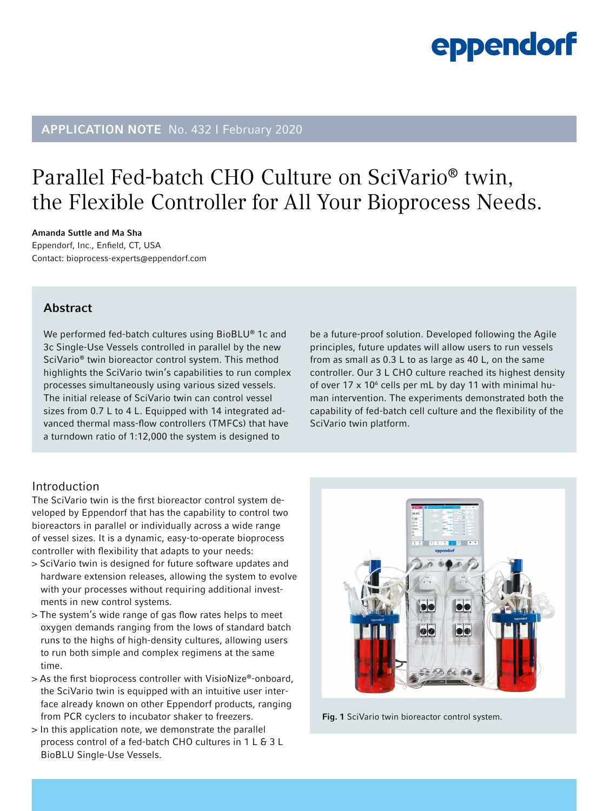### APPLICATION NOTE No. 432 I February 2020

### Parallel Fed-batch CHO Culture on [SciVario® twin,](http://www.eppendorf.com/SciVario?utm_source=brochure&utm_medium=qr&utm_campaign=scivario_launch_hq&utm_content=unspecified&utm_term=AN432-SciVarioLandingPage_global
) the Flexible Controller for All Your Bioprocess Needs.

Amanda Suttle and Ma Sha Eppendorf, Inc., Enfield, CT, USA Contact: [bioprocess-experts@eppendorf.com](mailto:bioprocess-experts%40eppendorf.com?subject=SciVario%20twin)

### Abstract

We performed fed-batch cultures using BioBLU® 1c and 3c Single-Use Vessels controlled in parallel by the new SciVario® twin bioreactor control system. This method highlights the SciVario twin's capabilities to run complex processes simultaneously using various sized vessels. The initial release of SciVario twin can control vessel sizes from 0.7 L to 4 L. Equipped with 14 integrated advanced thermal mass-flow controllers (TMFCs) that have a turndown ratio of 1:12,000 the system is designed to

#### be a future-proof solution. Developed following the Agile principles, future updates will allow users to run vessels from as small as 0.3 L to as large as 40 L, on the same controller. Our 3 L CHO culture reached its highest density of over  $17 \times 10^6$  cells per mL by day 11 with minimal human intervention. The experiments demonstrated both the capability of fed-batch cell culture and the flexibility of the SciVario twin platform.

### Introduction

The SciVario twin is the first bioreactor control system developed by Eppendorf that has the capability to control two bioreactors in parallel or individually across a wide range of vessel sizes. It is a dynamic, easy-to-operate bioprocess controller with flexibility that adapts to your needs:

- > SciVario twin is designed for future software updates and hardware extension releases, allowing the system to evolve with your processes without requiring additional investments in new control systems.
- > The system's wide range of gas flow rates helps to meet oxygen demands ranging from the lows of standard batch runs to the highs of high-density cultures, allowing users to run both simple and complex regimens at the same time.
- > As the first bioprocess controller with VisioNize®-onboard, the SciVario twin is equipped with an intuitive user interface already known on other Eppendorf products, ranging from PCR cyclers to incubator shaker to freezers.
- > In this application note, we demonstrate the parallel process control of a fed-batch CHO cultures in 1 L & 3 L BioBLU Single-Use Vessels.

88 80

Fig. 1 SciVario twin bioreactor control system.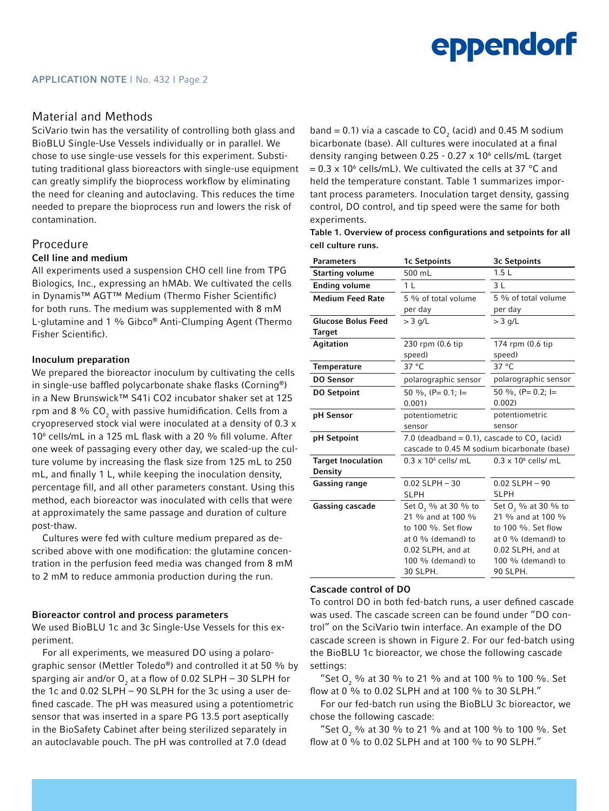#### Material and Methods

SciVario twin has the versatility of controlling both glass and BioBLU Single-Use Vessels individually or in parallel. We chose to use single-use vessels for this experiment. Substituting traditional glass bioreactors with single-use equipment can greatly simplify the bioprocess workflow by eliminating the need for cleaning and autoclaving. This reduces the time needed to prepare the bioprocess run and lowers the risk of contamination.

#### Procedure

#### Cell line and medium

All experiments used a suspension CHO cell line from TPG Biologics, Inc., expressing an hMAb. We cultivated the cells in Dynamis™ AGT™ Medium (Thermo Fisher Scientific) for both runs. The medium was supplemented with 8 mM L-glutamine and 1 % Gibco® Anti-Clumping Agent (Thermo Fisher Scientific).

#### Inoculum preparation

We prepared the bioreactor inoculum by cultivating the cells in single-use baffled polycarbonate shake flasks (Corning®) in a New Brunswick™ S41i CO2 incubator shaker set at 125 rpm and 8  $\%$  CO $_2$  with passive humidification. Cells from a cryopreserved stock vial were inoculated at a density of 0.3 x 106 cells/mL in a 125 mL flask with a 20 % fill volume. After one week of passaging every other day, we scaled-up the culture volume by increasing the flask size from 125 mL to 250 mL, and finally 1 L, while keeping the inoculation density, percentage fill, and all other parameters constant. Using this method, each bioreactor was inoculated with cells that were at approximately the same passage and duration of culture post-thaw.

Cultures were fed with culture medium prepared as described above with one modification: the glutamine concentration in the perfusion feed media was changed from 8 mM to 2 mM to reduce ammonia production during the run.

#### Bioreactor control and process parameters

We used BioBLU 1c and 3c Single-Use Vessels for this experiment.

For all experiments, we measured DO using a polarographic sensor (Mettler Toledo®) and controlled it at 50 % by sparging air and/or  ${\mathsf O}_2$  at a flow of 0.02 SLPH – 30 SLPH for the 1c and 0.02 SLPH – 90 SLPH for the 3c using a user defined cascade. The pH was measured using a potentiometric sensor that was inserted in a spare PG 13.5 port aseptically in the BioSafety Cabinet after being sterilized separately in an autoclavable pouch. The pH was controlled at 7.0 (dead

band = 0.1) via a cascade to  $CO_2$  (acid) and 0.45 M sodium bicarbonate (base). All cultures were inoculated at a final density ranging between 0.25 - 0.27 x 10<sup>6</sup> cells/mL (target  $= 0.3 \times 10^6$  cells/mL). We cultivated the cells at 37 °C and held the temperature constant. Table 1 summarizes important process parameters. Inoculation target density, gassing control, DO control, and tip speed were the same for both experiments.

Table 1. Overview of process configurations and setpoints for all cell culture runs.

| <b>Parameters</b>         | 1c Setpoints                                     | 3c Setpoints                    |
|---------------------------|--------------------------------------------------|---------------------------------|
| <b>Starting volume</b>    | 500 mL                                           | 1.5L                            |
| <b>Ending volume</b>      | 1 <sub>L</sub>                                   | 3L                              |
| <b>Medium Feed Rate</b>   | 5 % of total volume                              | 5 % of total volume             |
|                           | per day                                          | per day                         |
| <b>Glucose Bolus Feed</b> | $>$ 3 g/L                                        | $>$ 3 g/L                       |
| Target                    |                                                  |                                 |
| Agitation                 | 230 rpm (0.6 tip                                 | 174 rpm (0.6 tip                |
|                           | speed)                                           | speed)                          |
| <b>Temperature</b>        | $37^{\circ}$ C                                   | $37^{\circ}$ C                  |
| <b>DO Sensor</b>          | polarographic sensor                             | polarographic sensor            |
| <b>DO Setpoint</b>        | 50 %, $(P= 0.1; I=$                              | 50 %, $(P= 0.2; I=$             |
|                           | 0.001                                            | 0.002                           |
| pH Sensor                 | potentiometric                                   | potentiometric                  |
|                           | sensor                                           | sensor                          |
| pH Setpoint               | 7.0 (deadband $= 0.1$ ), cascade to $CO2$ (acid) |                                 |
|                           | cascade to 0.45 M sodium bicarbonate (base)      |                                 |
| <b>Target Inoculation</b> | $0.3 \times 10^6$ cells/ mL                      | $0.3 \times 10^6$ cells/ mL     |
| Density                   |                                                  |                                 |
| <b>Gassing range</b>      | $0.02$ SLPH $-30$                                | $0.02$ SLPH $-90$               |
|                           | <b>SLPH</b>                                      | <b>SLPH</b>                     |
| Gassing cascade           | Set O <sub>2</sub> % at 30 % to                  | Set O <sub>2</sub> % at 30 % to |
|                           | 21 % and at 100 %                                | 21 % and at 100 %               |
|                           | to $100\%$ . Set flow                            | to 100 %. Set flow              |
|                           | at 0 % (demand) to                               | at 0 % (demand) to              |
|                           | 0.02 SLPH, and at                                | 0.02 SLPH, and at               |
|                           | $100\%$ (demand) to                              | 100 % (demand) to               |
|                           | 30 SLPH.                                         | 90 SLPH.                        |

#### Cascade control of DO

To control DO in both fed-batch runs, a user defined cascade was used. The cascade screen can be found under "DO control" on the SciVario twin interface. An example of the DO cascade screen is shown in Figure 2. For our fed-batch using the BioBLU 1c bioreactor, we chose the following cascade settings:

"Set O<sub>2</sub> % at 30 % to 21 % and at 100 % to 100 %. Set flow at 0 % to 0.02 SLPH and at 100 % to 30 SLPH."

For our fed-batch run using the BioBLU 3c bioreactor, we chose the following cascade:

"Set O<sub>2</sub> % at 30 % to 21 % and at 100 % to 100 %. Set flow at 0 % to 0.02 SLPH and at 100 % to 90 SLPH."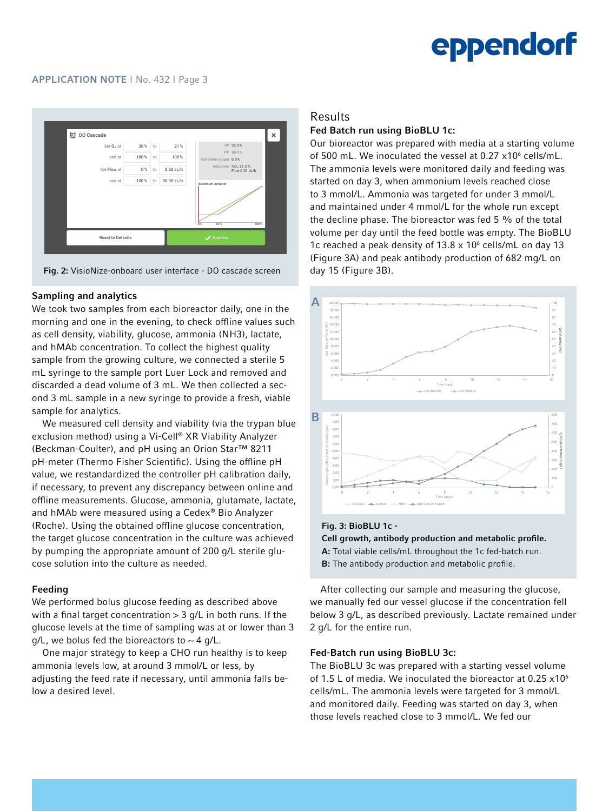

Fig. 2: VisioNize-onboard user interface - DO cascade screen

#### Sampling and analytics

We took two samples from each bioreactor daily, one in the morning and one in the evening, to check offline values such as cell density, viability, glucose, ammonia (NH3), lactate, and hMAb concentration. To collect the highest quality sample from the growing culture, we connected a sterile 5 mL syringe to the sample port Luer Lock and removed and discarded a dead volume of 3 mL. We then collected a second 3 mL sample in a new syringe to provide a fresh, viable sample for analytics.

We measured cell density and viability (via the trypan blue exclusion method) using a Vi-Cell® XR Viability Analyzer (Beckman-Coulter), and pH using an Orion Star™ 8211 pH-meter (Thermo Fisher Scientific). Using the offline pH value, we restandardized the controller pH calibration daily, if necessary, to prevent any discrepancy between online and offline measurements. Glucose, ammonia, glutamate, lactate, and hMAb were measured using a Cedex® Bio Analyzer (Roche). Using the obtained offline glucose concentration, the target glucose concentration in the culture was achieved by pumping the appropriate amount of 200 g/L sterile glucose solution into the culture as needed.

#### Feeding

We performed bolus glucose feeding as described above with a final target concentration  $> 3$  g/L in both runs. If the glucose levels at the time of sampling was at or lower than 3  $q/L$ , we bolus fed the bioreactors to  $\sim$  4 g/L.

One major strategy to keep a CHO run healthy is to keep ammonia levels low, at around 3 mmol/L or less, by adjusting the feed rate if necessary, until ammonia falls below a desired level.

#### Results

#### Fed Batch run using BioBLU 1c:

Our bioreactor was prepared with media at a starting volume of 500 mL. We inoculated the vessel at  $0.27 \times 10^6$  cells/mL. The ammonia levels were monitored daily and feeding was started on day 3, when ammonium levels reached close to 3 mmol/L. Ammonia was targeted for under 3 mmol/L and maintained under 4 mmol/L for the whole run except the decline phase. The bioreactor was fed 5 % of the total volume per day until the feed bottle was empty. The BioBLU 1c reached a peak density of  $13.8 \times 10^6$  cells/mL on day 13 (Figure 3A) and peak antibody production of 682 mg/L on day 15 (Figure 3B).



Fig. 3: BioBLU 1c - Cell growth, antibody production and metabolic profile. A: Total viable cells/mL throughout the 1c fed-batch run. B: The antibody production and metabolic profile.

After collecting our sample and measuring the glucose, we manually fed our vessel glucose if the concentration fell below 3 g/L, as described previously. Lactate remained under 2 g/L for the entire run.

#### Fed-Batch run using BioBLU 3c:

The BioBLU 3c was prepared with a starting vessel volume of 1.5 L of media. We inoculated the bioreactor at 0.25  $\times$ 10<sup>6</sup> cells/mL. The ammonia levels were targeted for 3 mmol/L and monitored daily. Feeding was started on day 3, when those levels reached close to 3 mmol/L. We fed our